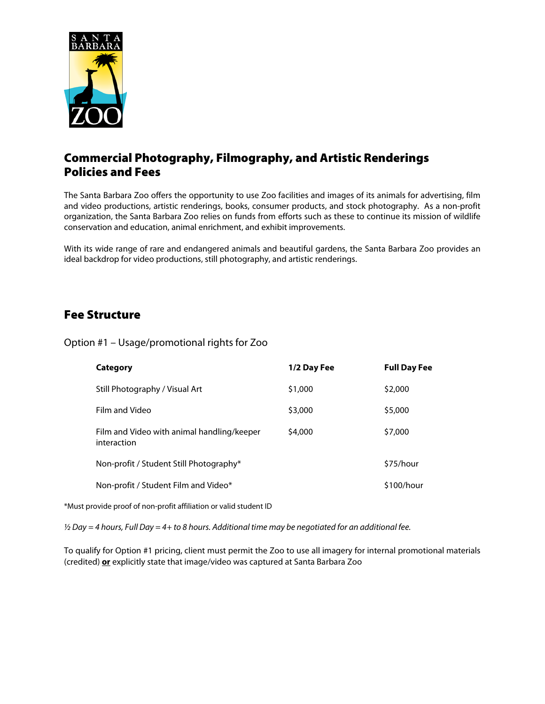

# Commercial Photography, Filmography, and Artistic Renderings Policies and Fees

The Santa Barbara Zoo offers the opportunity to use Zoo facilities and images of its animals for advertising, film and video productions, artistic renderings, books, consumer products, and stock photography. As a non-profit organization, the Santa Barbara Zoo relies on funds from efforts such as these to continue its mission of wildlife conservation and education, animal enrichment, and exhibit improvements.

With its wide range of rare and endangered animals and beautiful gardens, the Santa Barbara Zoo provides an ideal backdrop for video productions, still photography, and artistic renderings.

## Fee Structure

Option #1 – Usage/promotional rights for Zoo

| Category                                                  | 1/2 Day Fee | <b>Full Day Fee</b> |
|-----------------------------------------------------------|-------------|---------------------|
| Still Photography / Visual Art                            | \$1,000     | \$2,000             |
| Film and Video                                            | \$3,000     | \$5,000             |
| Film and Video with animal handling/keeper<br>interaction | \$4,000     | \$7,000             |
| Non-profit / Student Still Photography*                   |             | \$75/hour           |
| Non-profit / Student Film and Video*                      |             | \$100/hour          |

\*Must provide proof of non-profit affiliation or valid student ID

*½ Day = 4 hours, Full Day = 4+ to 8 hours. Additional time may be negotiated for an additional fee.*

To qualify for Option #1 pricing, client must permit the Zoo to use all imagery for internal promotional materials (credited) **or** explicitly state that image/video was captured at Santa Barbara Zoo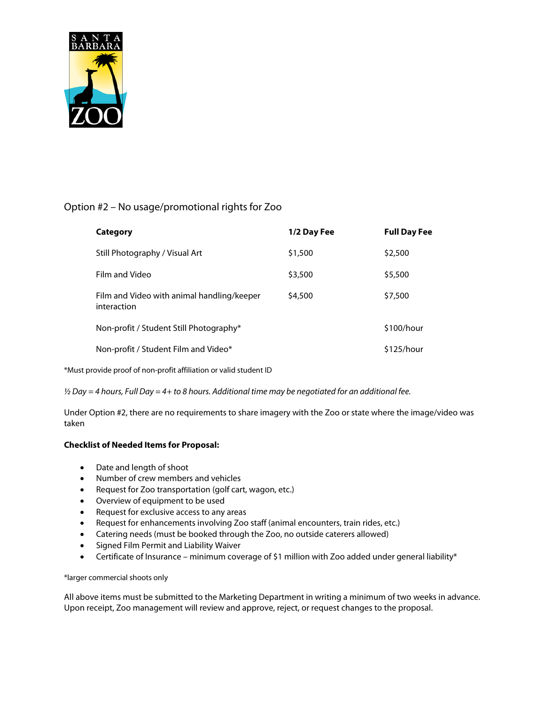

### Option #2 – No usage/promotional rights for Zoo

| Category                                                  | 1/2 Day Fee | <b>Full Day Fee</b> |
|-----------------------------------------------------------|-------------|---------------------|
| Still Photography / Visual Art                            | \$1,500     | \$2,500             |
| Film and Video                                            | \$3,500     | \$5,500             |
| Film and Video with animal handling/keeper<br>interaction | \$4,500     | \$7,500             |
| Non-profit / Student Still Photography*                   |             | \$100/hour          |
| Non-profit / Student Film and Video*                      |             | \$125/hour          |

\*Must provide proof of non-profit affiliation or valid student ID

*½ Day = 4 hours, Full Day = 4+ to 8 hours. Additional time may be negotiated for an additional fee.*

Under Option #2, there are no requirements to share imagery with the Zoo or state where the image/video was taken

### **Checklist of Needed Items for Proposal:**

- Date and length of shoot
- Number of crew members and vehicles
- Request for Zoo transportation (golf cart, wagon, etc.)
- Overview of equipment to be used
- Request for exclusive access to any areas
- Request for enhancements involving Zoo staff (animal encounters, train rides, etc.)
- Catering needs (must be booked through the Zoo, no outside caterers allowed)
- Signed Film Permit and Liability Waiver
- Certificate of Insurance minimum coverage of \$1 million with Zoo added under general liability\*

#### \*larger commercial shoots only

All above items must be submitted to the Marketing Department in writing a minimum of two weeks in advance. Upon receipt, Zoo management will review and approve, reject, or request changes to the proposal.